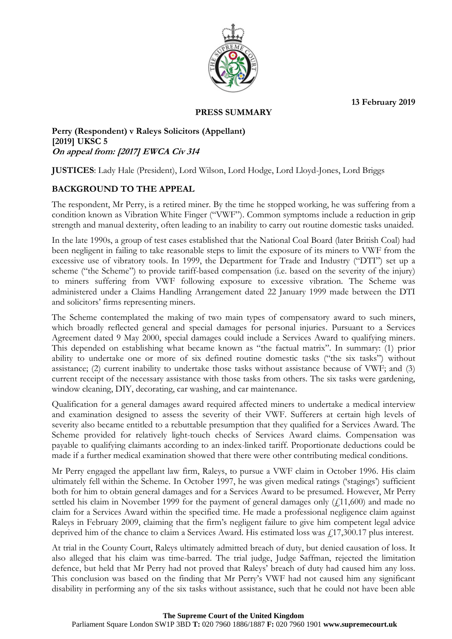**13 February 2019**



### **PRESS SUMMARY**

**Perry (Respondent) v Raleys Solicitors (Appellant) [2019] UKSC 5 On appeal from: [2017] EWCA Civ 314**

**JUSTICES**: Lady Hale (President), Lord Wilson, Lord Hodge, Lord Lloyd-Jones, Lord Briggs

## **BACKGROUND TO THE APPEAL**

The respondent, Mr Perry, is a retired miner. By the time he stopped working, he was suffering from a condition known as Vibration White Finger ("VWF"). Common symptoms include a reduction in grip strength and manual dexterity, often leading to an inability to carry out routine domestic tasks unaided.

In the late 1990s, a group of test cases established that the National Coal Board (later British Coal) had been negligent in failing to take reasonable steps to limit the exposure of its miners to VWF from the excessive use of vibratory tools. In 1999, the Department for Trade and Industry ("DTI") set up a scheme ("the Scheme") to provide tariff-based compensation (i.e. based on the severity of the injury) to miners suffering from VWF following exposure to excessive vibration. The Scheme was administered under a Claims Handling Arrangement dated 22 January 1999 made between the DTI and solicitors' firms representing miners.

The Scheme contemplated the making of two main types of compensatory award to such miners, which broadly reflected general and special damages for personal injuries. Pursuant to a Services Agreement dated 9 May 2000, special damages could include a Services Award to qualifying miners. This depended on establishing what became known as "the factual matrix". In summary: (1) prior ability to undertake one or more of six defined routine domestic tasks ("the six tasks") without assistance; (2) current inability to undertake those tasks without assistance because of VWF; and (3) current receipt of the necessary assistance with those tasks from others. The six tasks were gardening, window cleaning, DIY, decorating, car washing, and car maintenance.

Qualification for a general damages award required affected miners to undertake a medical interview and examination designed to assess the severity of their VWF. Sufferers at certain high levels of severity also became entitled to a rebuttable presumption that they qualified for a Services Award. The Scheme provided for relatively light-touch checks of Services Award claims. Compensation was payable to qualifying claimants according to an index-linked tariff. Proportionate deductions could be made if a further medical examination showed that there were other contributing medical conditions.

Mr Perry engaged the appellant law firm, Raleys, to pursue a VWF claim in October 1996. His claim ultimately fell within the Scheme. In October 1997, he was given medical ratings ('stagings') sufficient both for him to obtain general damages and for a Services Award to be presumed. However, Mr Perry settled his claim in November 1999 for the payment of general damages only  $(f11,600)$  and made no claim for a Services Award within the specified time. He made a professional negligence claim against Raleys in February 2009, claiming that the firm's negligent failure to give him competent legal advice deprived him of the chance to claim a Services Award. His estimated loss was  $\hat{f}$ , 17,300.17 plus interest.

At trial in the County Court, Raleys ultimately admitted breach of duty, but denied causation of loss. It also alleged that his claim was time-barred. The trial judge, Judge Saffman, rejected the limitation defence, but held that Mr Perry had not proved that Raleys' breach of duty had caused him any loss. This conclusion was based on the finding that Mr Perry's VWF had not caused him any significant disability in performing any of the six tasks without assistance, such that he could not have been able